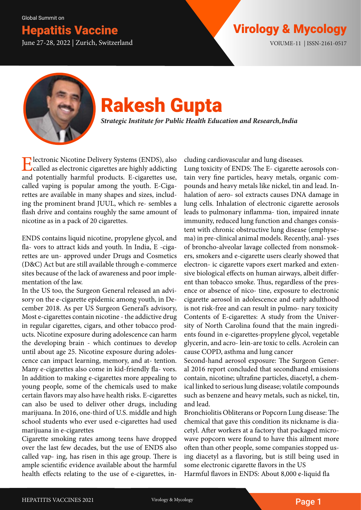Global Summit on

June 27-28, 2022 | Zurich, Switzerland VOlUME-11 | ISSN-2161-0517

## **Hepatitis Vaccine Virology & Mycology & Mycology**



# Rakesh Gupta

*Strategic Institute for Public Health Education and Research, India*

Electronic Nicotine Delivery Systems (ENDS), also called as electronic cigarettes are highly addicting and potentially harmful products. E-cigarettes use, called vaping is popular among the youth. E-Cigarettes are available in many shapes and sizes, including the prominent brand JUUL, which re- sembles a flash drive and contains roughly the same amount of nicotine as in a pack of 20 cigarettes.

ENDS contains liquid nicotine, propylene glycol, and fla- vors to attract kids and youth. In India, E -cigarettes are un- approved under Drugs and Cosmetics (D&C) Act but are still available through e-commerce sites because of the lack of awareness and poor implementation of the law.

In the US too, the Surgeon General released an advisory on the e-cigarette epidemic among youth, in December 2018. As per US Surgeon General's advisory, Most e-cigarettes contain nicotine - the addictive drug in regular cigarettes, cigars, and other tobacco products. Nicotine exposure during adolescence can harm the developing brain - which continues to develop until about age 25. Nicotine exposure during adolescence can impact learning, memory, and at- tention. Many e-cigarettes also come in kid-friendly fla- vors. In addition to making e-cigarettes more appealing to young people, some of the chemicals used to make certain flavors may also have health risks. E-cigarettes can also be used to deliver other drugs, including marijuana. In 2016, one-third of U.S. middle and high school students who ever used e-cigarettes had used marijuana in e-cigarettes

Cigarette smoking rates among teens have dropped over the last few decades, but the use of ENDS also called vap- ing, has risen in this age group. There is ample scientific evidence available about the harmful health effects relating to the use of e-cigarettes, including cardiovascular and lung diseases.

Lung toxicity of ENDS: The E- cigarette aerosols contain very fine particles, heavy metals, organic compounds and heavy metals like nickel, tin and lead. Inhalation of aero- sol extracts causes DNA damage in lung cells. Inhalation of electronic cigarette aerosols leads to pulmonary inflamma- tion, impaired innate immunity, reduced lung function and changes consistent with chronic obstructive lung disease (emphysema) in pre-clinical animal models. Recently, anal- yses of broncho-alveolar lavage collected from nonsmokers, smokers and e-cigarette users clearly showed that electron- ic cigarette vapors exert marked and extensive biological effects on human airways, albeit different than tobacco smoke. Thus, regardless of the presence or absence of nico- tine, exposure to electronic cigarette aerosol in adolescence and early adulthood is not risk-free and can result in pulmo- nary toxicity Contents of E-cigarettes: A study from the University of North Carolina found that the main ingredients found in e-cigarettes-propylene glycol, vegetable glycerin, and acro- lein-are toxic to cells. Acrolein can cause COPD, asthma and lung cancer

Second-hand aerosol exposure: The Surgeon General 2016 report concluded that secondhand emissions contain, nicotine; ultrafine particles, diacetyl, a chemical linked to serious lung disease; volatile compounds such as benzene and heavy metals, such as nickel, tin, and lead.

Bronchiolitis Obliterans or Popcorn Lung disease: The chemical that gave this condition its nickname is diacetyl. After workers at a factory that packaged microwave popcorn were found to have this ailment more often than other people, some companies stopped using diacetyl as a flavoring, but is still being used in some electronic cigarette flavors in the US Harmful flavors in ENDS: About 8,000 e-liquid fla